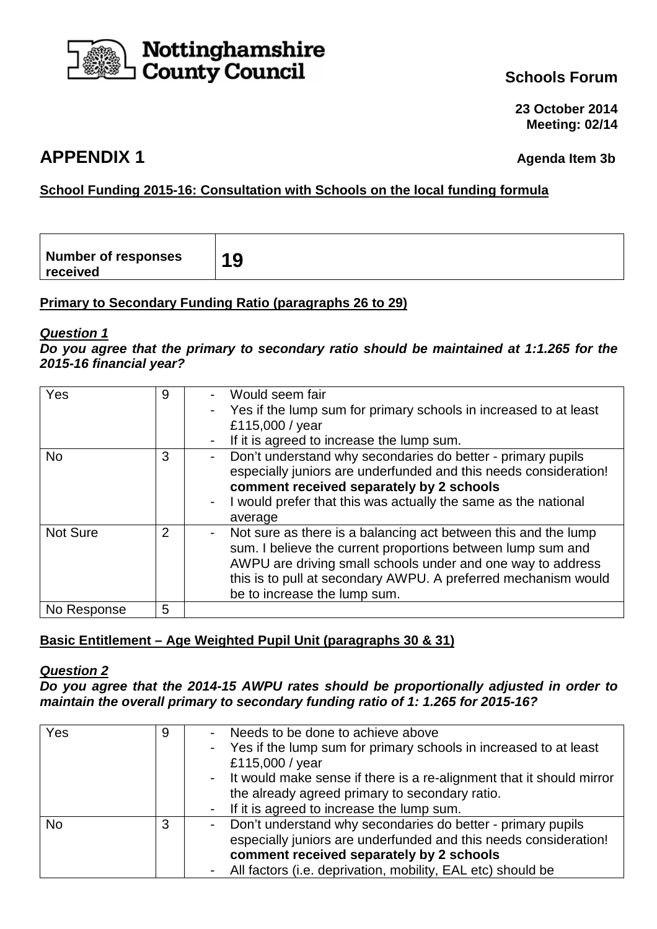

**23 October 2014 Meeting: 02/14**

# **APPENDIX 1 Agenda Item 3b**

# **School Funding 2015-16: Consultation with Schools on the local funding formula**

| <b>Number of responses</b><br>10<br>J<br>received |
|---------------------------------------------------|
|---------------------------------------------------|

# **Primary to Secondary Funding Ratio (paragraphs 26 to 29)**

#### **Question 1**

**Do you agree that the primary to secondary ratio should be maintained at 1:1.265 for the 2015-16 financial year?** 

| Yes             | 9              | Would seem fair<br>Yes if the lump sum for primary schools in increased to at least<br>£115,000 / year<br>If it is agreed to increase the lump sum.                                                                                                                                            |
|-----------------|----------------|------------------------------------------------------------------------------------------------------------------------------------------------------------------------------------------------------------------------------------------------------------------------------------------------|
| <b>No</b>       | 3              | Don't understand why secondaries do better - primary pupils<br>especially juniors are underfunded and this needs consideration!<br>comment received separately by 2 schools<br>I would prefer that this was actually the same as the national<br>average                                       |
| <b>Not Sure</b> | $\overline{2}$ | Not sure as there is a balancing act between this and the lump<br>sum. I believe the current proportions between lump sum and<br>AWPU are driving small schools under and one way to address<br>this is to pull at secondary AWPU. A preferred mechanism would<br>be to increase the lump sum. |
| No Response     | 5              |                                                                                                                                                                                                                                                                                                |

# **Basic Entitlement – Age Weighted Pupil Unit (paragraphs 30 & 31)**

#### **Question 2**

**Do you agree that the 2014-15 AWPU rates should be proportionally adjusted in order to maintain the overall primary to secondary funding ratio of 1: 1.265 for 2015-16?** 

| Yes | 9 | Needs to be done to achieve above<br>- Yes if the lump sum for primary schools in increased to at least<br>£115,000 / year<br>- It would make sense if there is a re-alignment that it should mirror<br>the already agreed primary to secondary ratio.<br>- If it is agreed to increase the lump sum. |
|-----|---|-------------------------------------------------------------------------------------------------------------------------------------------------------------------------------------------------------------------------------------------------------------------------------------------------------|
| No. | 3 | Don't understand why secondaries do better - primary pupils<br>especially juniors are underfunded and this needs consideration!<br>comment received separately by 2 schools<br>All factors (i.e. deprivation, mobility, EAL etc) should be                                                            |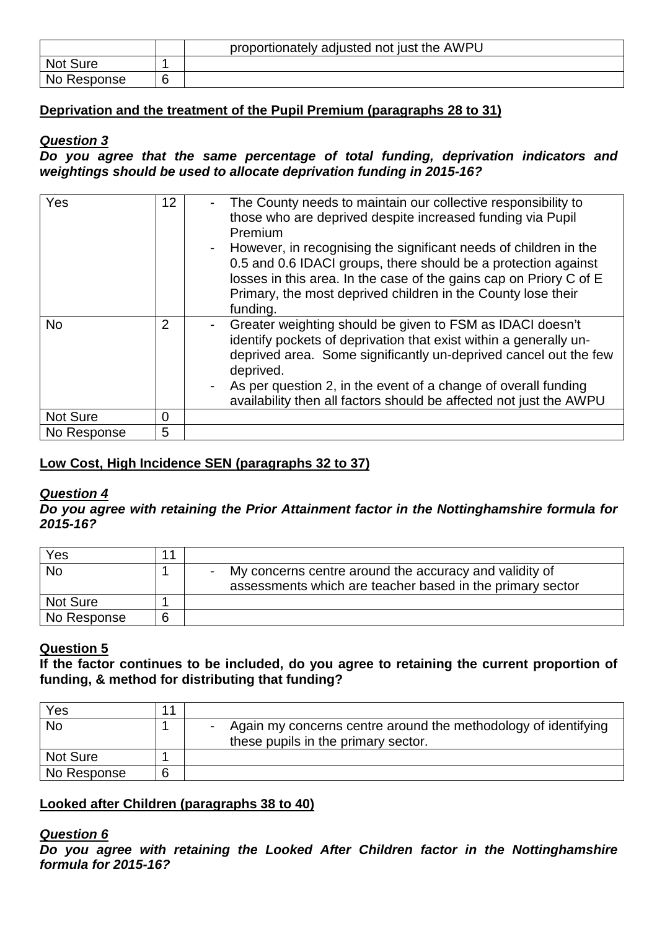|                 | proportionately adjusted not just the AWPU |
|-----------------|--------------------------------------------|
| <b>Not Sure</b> |                                            |
| No Response     |                                            |

# **Deprivation and the treatment of the Pupil Premium (paragraphs 28 to 31)**

#### **Question 3**

**Do you agree that the same percentage of total funding, deprivation indicators and weightings should be used to allocate deprivation funding in 2015-16?** 

| Yes             | $12 \overline{ }$ | The County needs to maintain our collective responsibility to<br>-<br>those who are deprived despite increased funding via Pupil<br>Premium<br>However, in recognising the significant needs of children in the<br>0.5 and 0.6 IDACI groups, there should be a protection against<br>losses in this area. In the case of the gains cap on Priory C of E<br>Primary, the most deprived children in the County lose their<br>funding. |
|-----------------|-------------------|-------------------------------------------------------------------------------------------------------------------------------------------------------------------------------------------------------------------------------------------------------------------------------------------------------------------------------------------------------------------------------------------------------------------------------------|
| <b>No</b>       | 2                 | Greater weighting should be given to FSM as IDACI doesn't<br>identify pockets of deprivation that exist within a generally un-<br>deprived area. Some significantly un-deprived cancel out the few<br>deprived.<br>As per question 2, in the event of a change of overall funding<br>availability then all factors should be affected not just the AWPU                                                                             |
| <b>Not Sure</b> | 0                 |                                                                                                                                                                                                                                                                                                                                                                                                                                     |
| No Response     | 5                 |                                                                                                                                                                                                                                                                                                                                                                                                                                     |

# **Low Cost, High Incidence SEN (paragraphs 32 to 37)**

#### **Question 4**

**Do you agree with retaining the Prior Attainment factor in the Nottinghamshire formula for 2015-16?** 

| Yes         | 11 |                                                                                                                     |
|-------------|----|---------------------------------------------------------------------------------------------------------------------|
| <b>No</b>   |    | My concerns centre around the accuracy and validity of<br>assessments which are teacher based in the primary sector |
| Not Sure    |    |                                                                                                                     |
| No Response | 6  |                                                                                                                     |

# **Question 5**

**If the factor continues to be included, do you agree to retaining the current proportion of funding, & method for distributing that funding?** 

| Yes             | 11 |                                                                |
|-----------------|----|----------------------------------------------------------------|
| <b>No</b>       |    | Again my concerns centre around the methodology of identifying |
|                 |    | these pupils in the primary sector.                            |
| <b>Not Sure</b> |    |                                                                |
| No Response     | 6  |                                                                |

#### **Looked after Children (paragraphs 38 to 40)**

#### **Question 6**

**Do you agree with retaining the Looked After Children factor in the Nottinghamshire formula for 2015-16?**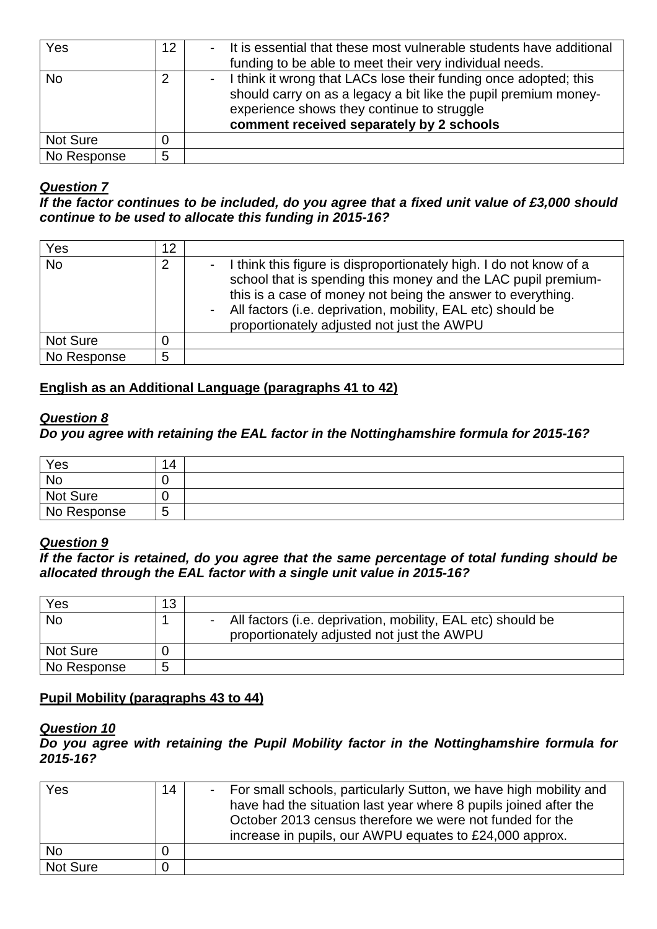| Yes         | 12 | It is essential that these most vulnerable students have additional<br>funding to be able to meet their very individual needs.                                                                                                |
|-------------|----|-------------------------------------------------------------------------------------------------------------------------------------------------------------------------------------------------------------------------------|
| <b>No</b>   |    | I think it wrong that LACs lose their funding once adopted; this<br>should carry on as a legacy a bit like the pupil premium money-<br>experience shows they continue to struggle<br>comment received separately by 2 schools |
| Not Sure    |    |                                                                                                                                                                                                                               |
| No Response | 5  |                                                                                                                                                                                                                               |

**If the factor continues to be included, do you agree that a fixed unit value of £3,000 should continue to be used to allocate this funding in 2015-16?** 

| Yes         | 12 |                                                                                                                                                                                                                                                                                                                 |
|-------------|----|-----------------------------------------------------------------------------------------------------------------------------------------------------------------------------------------------------------------------------------------------------------------------------------------------------------------|
| <b>No</b>   |    | I think this figure is disproportionately high. I do not know of a<br>school that is spending this money and the LAC pupil premium-<br>this is a case of money not being the answer to everything.<br>All factors (i.e. deprivation, mobility, EAL etc) should be<br>proportionately adjusted not just the AWPU |
| Not Sure    |    |                                                                                                                                                                                                                                                                                                                 |
| No Response | 5  |                                                                                                                                                                                                                                                                                                                 |

### **English as an Additional Language (paragraphs 41 to 42)**

#### **Question 8**

#### **Do you agree with retaining the EAL factor in the Nottinghamshire formula for 2015-16?**

| Yes         | 14     |  |
|-------------|--------|--|
| No          | U      |  |
| Not Sure    |        |  |
| No Response | ∽<br>J |  |

#### **Question 9**

**If the factor is retained, do you agree that the same percentage of total funding should be allocated through the EAL factor with a single unit value in 2015-16?** 

| Yes         | 13 |                                                                                                             |
|-------------|----|-------------------------------------------------------------------------------------------------------------|
| <b>No</b>   |    | - All factors (i.e. deprivation, mobility, EAL etc) should be<br>proportionately adjusted not just the AWPU |
| Not Sure    |    |                                                                                                             |
| No Response | 5  |                                                                                                             |

# **Pupil Mobility (paragraphs 43 to 44)**

#### **Question 10**

**Do you agree with retaining the Pupil Mobility factor in the Nottinghamshire formula for 2015-16?** 

| Yes      | 14 | For small schools, particularly Sutton, we have high mobility and<br>have had the situation last year where 8 pupils joined after the<br>October 2013 census therefore we were not funded for the<br>increase in pupils, our AWPU equates to £24,000 approx. |
|----------|----|--------------------------------------------------------------------------------------------------------------------------------------------------------------------------------------------------------------------------------------------------------------|
| No       |    |                                                                                                                                                                                                                                                              |
| Not Sure |    |                                                                                                                                                                                                                                                              |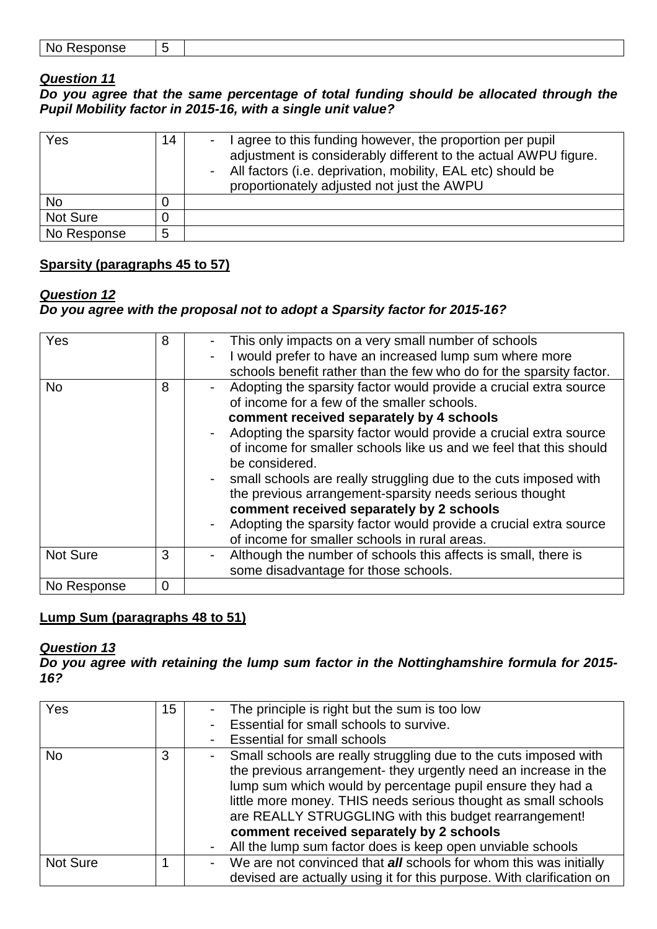| . .<br>No Rec | - |  |
|---------------|---|--|
|---------------|---|--|

**Do you agree that the same percentage of total funding should be allocated through the Pupil Mobility factor in 2015-16, with a single unit value?** 

| Yes         | 14 | agree to this funding however, the proportion per pupil<br>adjustment is considerably different to the actual AWPU figure.<br>All factors (i.e. deprivation, mobility, EAL etc) should be<br>proportionately adjusted not just the AWPU |
|-------------|----|-----------------------------------------------------------------------------------------------------------------------------------------------------------------------------------------------------------------------------------------|
| No          |    |                                                                                                                                                                                                                                         |
| Not Sure    |    |                                                                                                                                                                                                                                         |
| No Response | 5  |                                                                                                                                                                                                                                         |

# **Sparsity (paragraphs 45 to 57)**

### **Question 12**

# **Do you agree with the proposal not to adopt a Sparsity factor for 2015-16?**

| Yes         | 8        | This only impacts on a very small number of schools<br>-            |
|-------------|----------|---------------------------------------------------------------------|
|             |          | I would prefer to have an increased lump sum where more<br>-        |
|             |          | schools benefit rather than the few who do for the sparsity factor. |
| <b>No</b>   | 8        | Adopting the sparsity factor would provide a crucial extra source   |
|             |          | of income for a few of the smaller schools.                         |
|             |          | comment received separately by 4 schools                            |
|             |          | Adopting the sparsity factor would provide a crucial extra source   |
|             |          | of income for smaller schools like us and we feel that this should  |
|             |          | be considered.                                                      |
|             |          | small schools are really struggling due to the cuts imposed with    |
|             |          | the previous arrangement-sparsity needs serious thought             |
|             |          | comment received separately by 2 schools                            |
|             |          | Adopting the sparsity factor would provide a crucial extra source   |
|             |          | of income for smaller schools in rural areas.                       |
| Not Sure    | 3        | Although the number of schools this affects is small, there is      |
|             |          | some disadvantage for those schools.                                |
| No Response | $\Omega$ |                                                                     |

# **Lump Sum (paragraphs 48 to 51)**

#### **Question 13**

**Do you agree with retaining the lump sum factor in the Nottinghamshire formula for 2015- 16?** 

| Yes       | 15 | The principle is right but the sum is too low                            |
|-----------|----|--------------------------------------------------------------------------|
|           |    | Essential for small schools to survive.                                  |
|           |    | <b>Essential for small schools</b>                                       |
| <b>No</b> | 3  | Small schools are really struggling due to the cuts imposed with         |
|           |    | the previous arrangement- they urgently need an increase in the          |
|           |    | lump sum which would by percentage pupil ensure they had a               |
|           |    | little more money. THIS needs serious thought as small schools           |
|           |    | are REALLY STRUGGLING with this budget rearrangement!                    |
|           |    | comment received separately by 2 schools                                 |
|           |    | All the lump sum factor does is keep open unviable schools               |
| Not Sure  |    | We are not convinced that <b>all</b> schools for whom this was initially |
|           |    | devised are actually using it for this purpose. With clarification on    |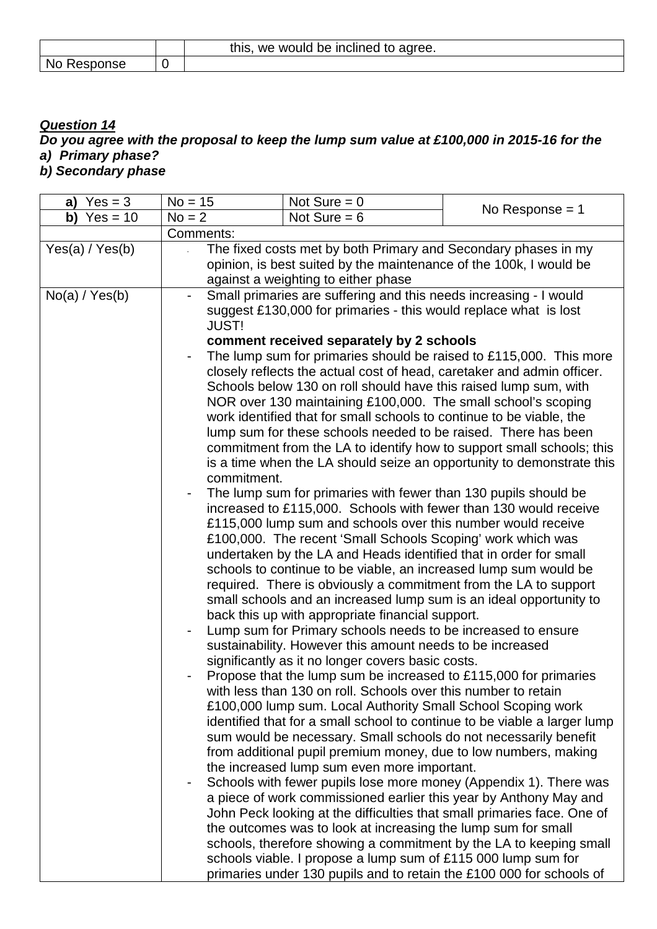|             | this,<br>, we would be inclined to agree. |
|-------------|-------------------------------------------|
| No Response |                                           |

# **Question 14 Do you agree with the proposal to keep the lump sum value at £100,000 in 2015-16 for the a) Primary phase?**

**b) Secondary phase** 

| a) $Yes = 3$    | $No = 15$    | Not Sure $= 0$                                                                                                   | No Response $= 1$                                                         |
|-----------------|--------------|------------------------------------------------------------------------------------------------------------------|---------------------------------------------------------------------------|
| b) $Yes = 10$   | $No = 2$     | Not Sure $= 6$                                                                                                   |                                                                           |
|                 | Comments:    |                                                                                                                  |                                                                           |
| Yes(a) / Yes(b) |              | The fixed costs met by both Primary and Secondary phases in my                                                   |                                                                           |
|                 |              | opinion, is best suited by the maintenance of the 100k, I would be                                               |                                                                           |
|                 |              | against a weighting to either phase                                                                              |                                                                           |
| No(a) / Yes(b)  |              | Small primaries are suffering and this needs increasing - I would                                                |                                                                           |
|                 |              | suggest £130,000 for primaries - this would replace what is lost                                                 |                                                                           |
|                 | <b>JUST!</b> |                                                                                                                  |                                                                           |
|                 |              | comment received separately by 2 schools                                                                         |                                                                           |
|                 |              | closely reflects the actual cost of head, caretaker and admin officer.                                           | The lump sum for primaries should be raised to £115,000. This more        |
|                 |              | Schools below 130 on roll should have this raised lump sum, with                                                 |                                                                           |
|                 |              | NOR over 130 maintaining £100,000. The small school's scoping                                                    |                                                                           |
|                 |              | work identified that for small schools to continue to be viable, the                                             |                                                                           |
|                 |              | lump sum for these schools needed to be raised. There has been                                                   |                                                                           |
|                 |              |                                                                                                                  | commitment from the LA to identify how to support small schools; this     |
|                 |              |                                                                                                                  | is a time when the LA should seize an opportunity to demonstrate this     |
|                 | commitment.  |                                                                                                                  |                                                                           |
|                 |              | The lump sum for primaries with fewer than 130 pupils should be                                                  |                                                                           |
|                 |              | increased to £115,000. Schools with fewer than 130 would receive                                                 |                                                                           |
|                 |              | £115,000 lump sum and schools over this number would receive                                                     |                                                                           |
|                 |              | £100,000. The recent 'Small Schools Scoping' work which was                                                      |                                                                           |
|                 |              | undertaken by the LA and Heads identified that in order for small                                                |                                                                           |
|                 |              | schools to continue to be viable, an increased lump sum would be                                                 |                                                                           |
|                 |              | required. There is obviously a commitment from the LA to support                                                 |                                                                           |
|                 |              | small schools and an increased lump sum is an ideal opportunity to                                               |                                                                           |
|                 |              | back this up with appropriate financial support.<br>Lump sum for Primary schools needs to be increased to ensure |                                                                           |
|                 |              | sustainability. However this amount needs to be increased                                                        |                                                                           |
|                 |              | significantly as it no longer covers basic costs.                                                                |                                                                           |
|                 |              | Propose that the lump sum be increased to £115,000 for primaries                                                 |                                                                           |
|                 |              | with less than 130 on roll. Schools over this number to retain                                                   |                                                                           |
|                 |              | £100,000 lump sum. Local Authority Small School Scoping work                                                     |                                                                           |
|                 |              |                                                                                                                  | identified that for a small school to continue to be viable a larger lump |
|                 |              | sum would be necessary. Small schools do not necessarily benefit                                                 |                                                                           |
|                 |              | from additional pupil premium money, due to low numbers, making                                                  |                                                                           |
|                 |              | the increased lump sum even more important.                                                                      |                                                                           |
|                 |              |                                                                                                                  | Schools with fewer pupils lose more money (Appendix 1). There was         |
|                 |              |                                                                                                                  | a piece of work commissioned earlier this year by Anthony May and         |
|                 |              |                                                                                                                  | John Peck looking at the difficulties that small primaries face. One of   |
|                 |              | the outcomes was to look at increasing the lump sum for small                                                    |                                                                           |
|                 |              |                                                                                                                  | schools, therefore showing a commitment by the LA to keeping small        |
|                 |              | schools viable. I propose a lump sum of £115 000 lump sum for                                                    |                                                                           |
|                 |              |                                                                                                                  | primaries under 130 pupils and to retain the £100 000 for schools of      |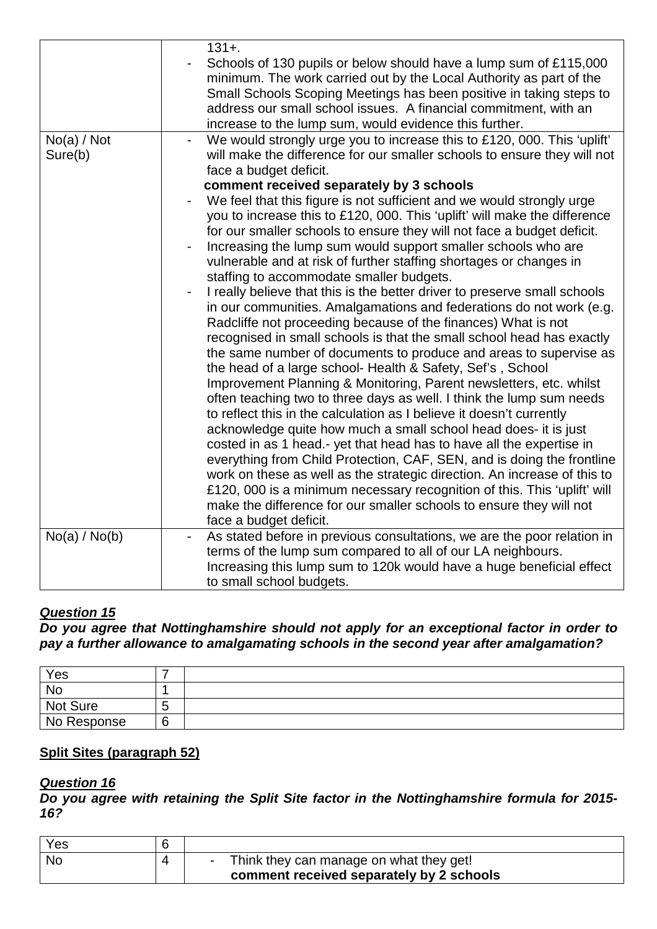|                        | $131 +$ .<br>Schools of 130 pupils or below should have a lump sum of £115,000<br>minimum. The work carried out by the Local Authority as part of the<br>Small Schools Scoping Meetings has been positive in taking steps to<br>address our small school issues. A financial commitment, with an<br>increase to the lump sum, would evidence this further.                                                                                                                                                                                                                                                                                                                                                                                                                                                                                                                                                                                                                                                                                                                                                                                                                                                                                                                                                                                                                                                                                                                                                                                                                                                         |
|------------------------|--------------------------------------------------------------------------------------------------------------------------------------------------------------------------------------------------------------------------------------------------------------------------------------------------------------------------------------------------------------------------------------------------------------------------------------------------------------------------------------------------------------------------------------------------------------------------------------------------------------------------------------------------------------------------------------------------------------------------------------------------------------------------------------------------------------------------------------------------------------------------------------------------------------------------------------------------------------------------------------------------------------------------------------------------------------------------------------------------------------------------------------------------------------------------------------------------------------------------------------------------------------------------------------------------------------------------------------------------------------------------------------------------------------------------------------------------------------------------------------------------------------------------------------------------------------------------------------------------------------------|
| No(a) / Not<br>Sure(b) | We would strongly urge you to increase this to £120, 000. This 'uplift'<br>will make the difference for our smaller schools to ensure they will not<br>face a budget deficit.                                                                                                                                                                                                                                                                                                                                                                                                                                                                                                                                                                                                                                                                                                                                                                                                                                                                                                                                                                                                                                                                                                                                                                                                                                                                                                                                                                                                                                      |
|                        | comment received separately by 3 schools<br>We feel that this figure is not sufficient and we would strongly urge<br>you to increase this to £120, 000. This 'uplift' will make the difference<br>for our smaller schools to ensure they will not face a budget deficit.<br>Increasing the lump sum would support smaller schools who are<br>vulnerable and at risk of further staffing shortages or changes in<br>staffing to accommodate smaller budgets.<br>I really believe that this is the better driver to preserve small schools<br>$\blacksquare$<br>in our communities. Amalgamations and federations do not work (e.g.<br>Radcliffe not proceeding because of the finances) What is not<br>recognised in small schools is that the small school head has exactly<br>the same number of documents to produce and areas to supervise as<br>the head of a large school- Health & Safety, Sef's, School<br>Improvement Planning & Monitoring, Parent newsletters, etc. whilst<br>often teaching two to three days as well. I think the lump sum needs<br>to reflect this in the calculation as I believe it doesn't currently<br>acknowledge quite how much a small school head does- it is just<br>costed in as 1 head.- yet that head has to have all the expertise in<br>everything from Child Protection, CAF, SEN, and is doing the frontline<br>work on these as well as the strategic direction. An increase of this to<br>£120, 000 is a minimum necessary recognition of this. This 'uplift' will<br>make the difference for our smaller schools to ensure they will not<br>face a budget deficit. |
| No(a) / No(b)          | As stated before in previous consultations, we are the poor relation in<br>$\blacksquare$                                                                                                                                                                                                                                                                                                                                                                                                                                                                                                                                                                                                                                                                                                                                                                                                                                                                                                                                                                                                                                                                                                                                                                                                                                                                                                                                                                                                                                                                                                                          |
|                        | terms of the lump sum compared to all of our LA neighbours.<br>Increasing this lump sum to 120k would have a huge beneficial effect<br>to small school budgets.                                                                                                                                                                                                                                                                                                                                                                                                                                                                                                                                                                                                                                                                                                                                                                                                                                                                                                                                                                                                                                                                                                                                                                                                                                                                                                                                                                                                                                                    |

**Do you agree that Nottinghamshire should not apply for an exceptional factor in order to pay a further allowance to amalgamating schools in the second year after amalgamation?** 

| Yes         |             |  |
|-------------|-------------|--|
| No          |             |  |
| Not Sure    | ∽<br>J      |  |
| No Response | ⌒<br>∽<br>∼ |  |

# **Split Sites (paragraph 52)**

# **Question 16**

**Do you agree with retaining the Split Site factor in the Nottinghamshire formula for 2015- 16?** 

| Yes       |                                                                                     |
|-----------|-------------------------------------------------------------------------------------|
| <b>No</b> | Think they can manage on what they get!<br>comment received separately by 2 schools |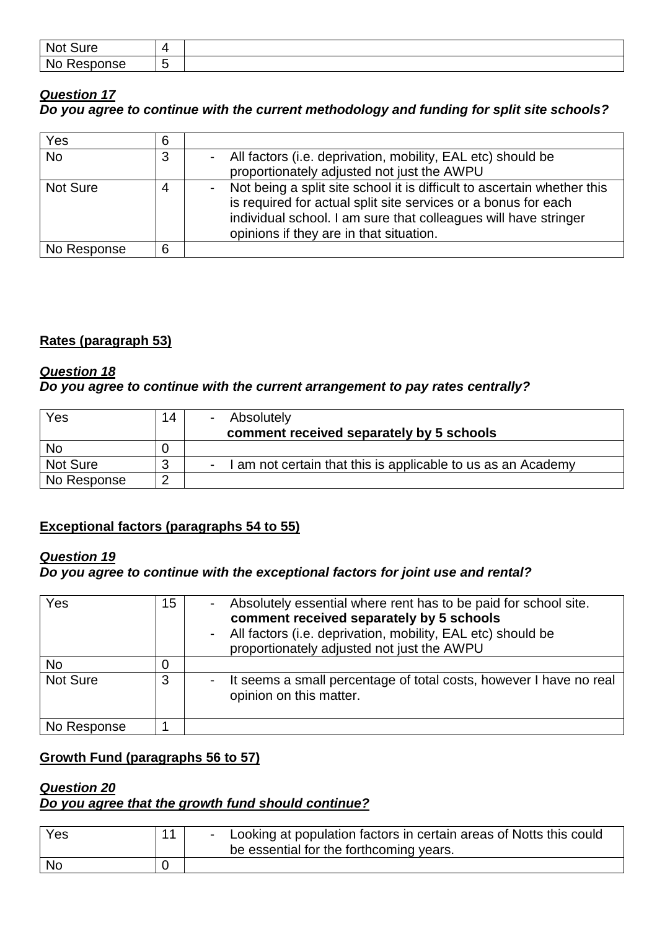| No<br>                         | $\Delta$ |  |
|--------------------------------|----------|--|
| <b>N</b> c<br>onse<br>ס –<br>м |          |  |

# **Question 17 Do you agree to continue with the current methodology and funding for split site schools?**

| Yes         | 6 |                                                                                                                                                                                                                                                         |
|-------------|---|---------------------------------------------------------------------------------------------------------------------------------------------------------------------------------------------------------------------------------------------------------|
| <b>No</b>   | 3 | All factors (i.e. deprivation, mobility, EAL etc) should be<br>proportionately adjusted not just the AWPU                                                                                                                                               |
| Not Sure    |   | Not being a split site school it is difficult to ascertain whether this<br>is required for actual split site services or a bonus for each<br>individual school. I am sure that colleagues will have stringer<br>opinions if they are in that situation. |
| No Response | 6 |                                                                                                                                                                                                                                                         |

# **Rates (paragraph 53)**

### **Question 18**

# **Do you agree to continue with the current arrangement to pay rates centrally?**

| Yes             | 14 | Absolutely<br>comment received separately by 5 schools     |
|-----------------|----|------------------------------------------------------------|
| <b>No</b>       |    |                                                            |
| <b>Not Sure</b> |    | am not certain that this is applicable to us as an Academy |
| No Response     |    |                                                            |

# **Exceptional factors (paragraphs 54 to 55)**

# **Question 19**

# **Do you agree to continue with the exceptional factors for joint use and rental?**

| Yes         | 15 | Absolutely essential where rent has to be paid for school site.<br>comment received separately by 5 schools<br>All factors (i.e. deprivation, mobility, EAL etc) should be<br>proportionately adjusted not just the AWPU |
|-------------|----|--------------------------------------------------------------------------------------------------------------------------------------------------------------------------------------------------------------------------|
| <b>No</b>   |    |                                                                                                                                                                                                                          |
| Not Sure    | 3  | It seems a small percentage of total costs, however I have no real<br>opinion on this matter.                                                                                                                            |
| No Response |    |                                                                                                                                                                                                                          |

# **Growth Fund (paragraphs 56 to 57)**

#### **Question 20 Do you agree that the growth fund should continue?**

| Yes       | 11 | Looking at population factors in certain areas of Notts this could<br>be essential for the forthcoming years. |
|-----------|----|---------------------------------------------------------------------------------------------------------------|
| <b>No</b> |    |                                                                                                               |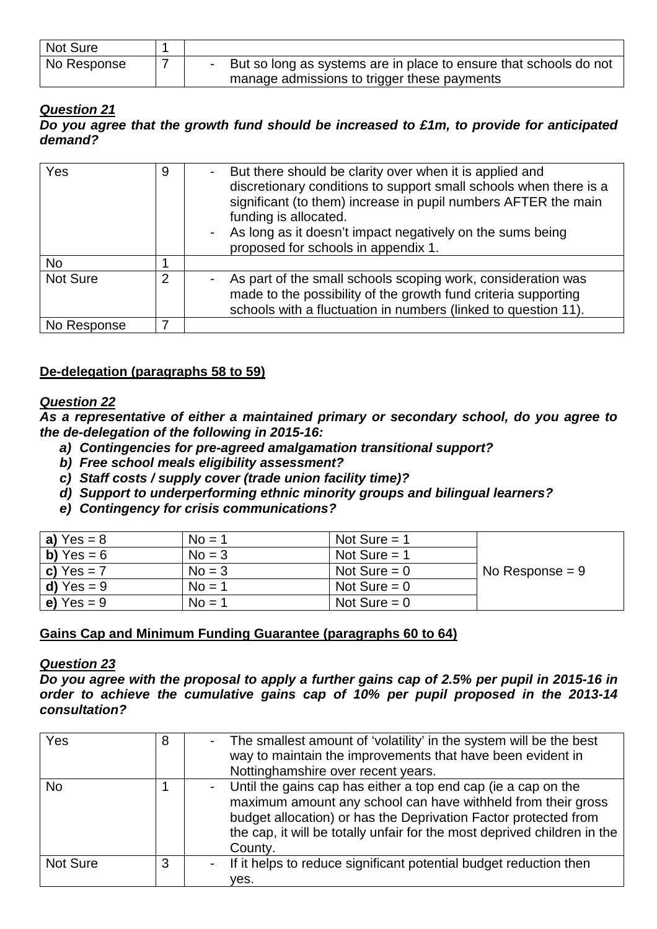| Not Sure                 |                                                                   |
|--------------------------|-------------------------------------------------------------------|
| <sup>1</sup> No Response | But so long as systems are in place to ensure that schools do not |
|                          | manage admissions to trigger these payments                       |

**Do you agree that the growth fund should be increased to £1m, to provide for anticipated demand?** 

| Yes         | 9              | But there should be clarity over when it is applied and<br>discretionary conditions to support small schools when there is a<br>significant (to them) increase in pupil numbers AFTER the main<br>funding is allocated.<br>As long as it doesn't impact negatively on the sums being<br>proposed for schools in appendix 1. |
|-------------|----------------|-----------------------------------------------------------------------------------------------------------------------------------------------------------------------------------------------------------------------------------------------------------------------------------------------------------------------------|
| <b>No</b>   |                |                                                                                                                                                                                                                                                                                                                             |
| Not Sure    | $\overline{2}$ | As part of the small schools scoping work, consideration was<br>made to the possibility of the growth fund criteria supporting<br>schools with a fluctuation in numbers (linked to question 11).                                                                                                                            |
| No Response |                |                                                                                                                                                                                                                                                                                                                             |

### **De-delegation (paragraphs 58 to 59)**

#### **Question 22**

**As a representative of either a maintained primary or secondary school, do you agree to the de-delegation of the following in 2015-16:** 

- **a) Contingencies for pre-agreed amalgamation transitional support?**
- **b) Free school meals eligibility assessment?**
- **c) Staff costs / supply cover (trade union facility time)?**
- **d) Support to underperforming ethnic minority groups and bilingual learners?**
- **e) Contingency for crisis communications?**

| a) $Yes = 8$ | $No = 1$ | Not Sure $=$ 1 |                   |
|--------------|----------|----------------|-------------------|
| b) $Yes = 6$ | $No = 3$ | Not Sure $=$ 1 |                   |
| c) $Yes = 7$ | $No = 3$ | Not Sure $= 0$ | No Response $= 9$ |
| d) $Yes = 9$ | $No = 1$ | Not Sure $= 0$ |                   |
| e) $Yes = 9$ | $No = 1$ | Not Sure $= 0$ |                   |

#### **Gains Cap and Minimum Funding Guarantee (paragraphs 60 to 64)**

#### **Question 23**

**Do you agree with the proposal to apply a further gains cap of 2.5% per pupil in 2015-16 in order to achieve the cumulative gains cap of 10% per pupil proposed in the 2013-14 consultation?** 

| Yes       | 8 | The smallest amount of 'volatility' in the system will be the best<br>way to maintain the improvements that have been evident in<br>Nottinghamshire over recent years.                                                                                                                  |
|-----------|---|-----------------------------------------------------------------------------------------------------------------------------------------------------------------------------------------------------------------------------------------------------------------------------------------|
| <b>No</b> |   | Until the gains cap has either a top end cap (ie a cap on the<br>maximum amount any school can have withheld from their gross<br>budget allocation) or has the Deprivation Factor protected from<br>the cap, it will be totally unfair for the most deprived children in the<br>County. |
| Not Sure  | 3 | - If it helps to reduce significant potential budget reduction then<br>ves.                                                                                                                                                                                                             |